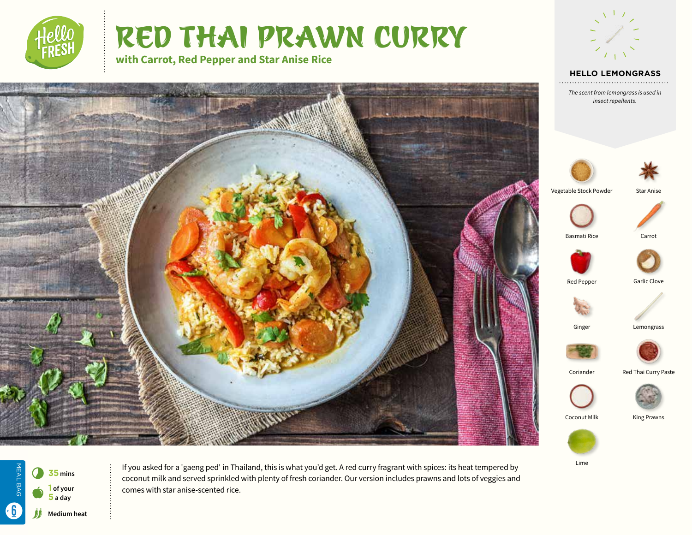

**AND STATE** 

# RED THAI PRAWN CURRY

**with Carrot, Red Pepper and Star Anise Rice**





*The scent from lemongrass is used in insect repellents.*





Basmati Rice Carrot













Coconut Milk King Prawns





If you asked for a 'gaeng ped' in Thailand, this is what you'd get. A red curry fragrant with spices: its heat tempered by coconut milk and served sprinkled with plenty of fresh coriander. Our version includes prawns and lots of veggies and comes with star anise-scented rice.

Red Pepper Garlic Clove Ginger Lemongrass

Lime